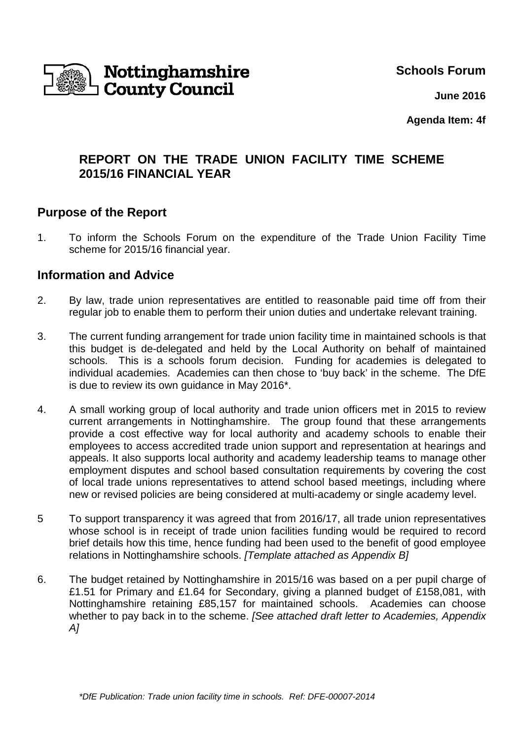

**Schools Forum**

**June 2016**

**Agenda Item: 4f**

# **REPORT ON THE TRADE UNION FACILITY TIME SCHEME 2015/16 FINANCIAL YEAR**

## **Purpose of the Report**

1. To inform the Schools Forum on the expenditure of the Trade Union Facility Time scheme for 2015/16 financial year.

### **Information and Advice**

- 2. By law, trade union representatives are entitled to reasonable paid time off from their regular job to enable them to perform their union duties and undertake relevant training.
- 3. The current funding arrangement for trade union facility time in maintained schools is that this budget is de-delegated and held by the Local Authority on behalf of maintained schools. This is a schools forum decision. Funding for academies is delegated to individual academies. Academies can then chose to 'buy back' in the scheme. The DfE is due to review its own guidance in May 2016\*.
- 4. A small working group of local authority and trade union officers met in 2015 to review current arrangements in Nottinghamshire. The group found that these arrangements provide a cost effective way for local authority and academy schools to enable their employees to access accredited trade union support and representation at hearings and appeals. It also supports local authority and academy leadership teams to manage other employment disputes and school based consultation requirements by covering the cost of local trade unions representatives to attend school based meetings, including where new or revised policies are being considered at multi-academy or single academy level.
- 5 To support transparency it was agreed that from 2016/17, all trade union representatives whose school is in receipt of trade union facilities funding would be required to record brief details how this time, hence funding had been used to the benefit of good employee relations in Nottinghamshire schools. [Template attached as Appendix B]
- 6. The budget retained by Nottinghamshire in 2015/16 was based on a per pupil charge of £1.51 for Primary and £1.64 for Secondary, giving a planned budget of £158,081, with Nottinghamshire retaining £85,157 for maintained schools. Academies can choose whether to pay back in to the scheme. [See attached draft letter to Academies, Appendix A]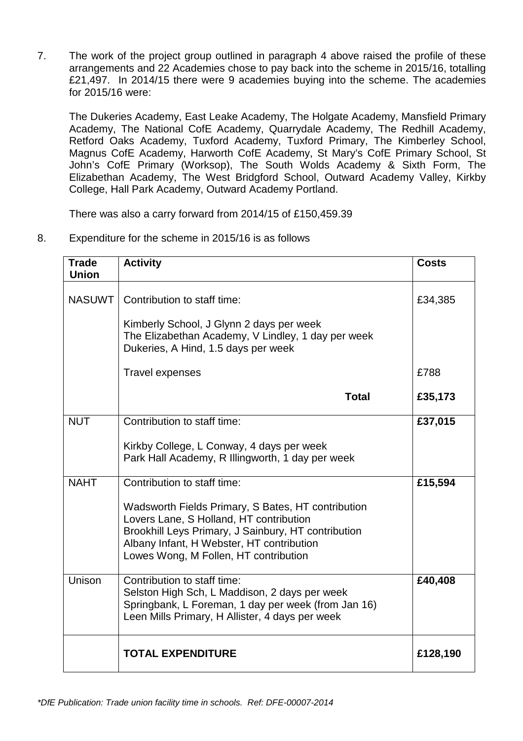7. The work of the project group outlined in paragraph 4 above raised the profile of these arrangements and 22 Academies chose to pay back into the scheme in 2015/16, totalling £21,497. In 2014/15 there were 9 academies buying into the scheme. The academies for 2015/16 were:

The Dukeries Academy, East Leake Academy, The Holgate Academy, Mansfield Primary Academy, The National CofE Academy, Quarrydale Academy, The Redhill Academy, Retford Oaks Academy, Tuxford Academy, Tuxford Primary, The Kimberley School, Magnus CofE Academy, Harworth CofE Academy, St Mary's CofE Primary School, St John's CofE Primary (Worksop), The South Wolds Academy & Sixth Form, The Elizabethan Academy, The West Bridgford School, Outward Academy Valley, Kirkby College, Hall Park Academy, Outward Academy Portland.

There was also a carry forward from 2014/15 of £150,459.39

8. Expenditure for the scheme in 2015/16 is as follows

| <b>Trade</b><br><b>Union</b> | <b>Activity</b>                                                                                                                                                                        | <b>Costs</b> |
|------------------------------|----------------------------------------------------------------------------------------------------------------------------------------------------------------------------------------|--------------|
| <b>NASUWT</b>                | Contribution to staff time:<br>Kimberly School, J Glynn 2 days per week<br>The Elizabethan Academy, V Lindley, 1 day per week                                                          | £34,385      |
|                              | Dukeries, A Hind, 1.5 days per week                                                                                                                                                    |              |
|                              | <b>Travel expenses</b>                                                                                                                                                                 | £788         |
|                              | <b>Total</b>                                                                                                                                                                           | £35,173      |
| <b>NUT</b>                   | Contribution to staff time:                                                                                                                                                            | £37,015      |
|                              | Kirkby College, L Conway, 4 days per week<br>Park Hall Academy, R Illingworth, 1 day per week                                                                                          |              |
| <b>NAHT</b>                  | Contribution to staff time:<br>Wadsworth Fields Primary, S Bates, HT contribution<br>Lovers Lane, S Holland, HT contribution<br>Brookhill Leys Primary, J Sainbury, HT contribution    | £15,594      |
|                              | Albany Infant, H Webster, HT contribution<br>Lowes Wong, M Follen, HT contribution                                                                                                     |              |
| Unison                       | Contribution to staff time:<br>Selston High Sch, L Maddison, 2 days per week<br>Springbank, L Foreman, 1 day per week (from Jan 16)<br>Leen Mills Primary, H Allister, 4 days per week | £40,408      |
|                              | <b>TOTAL EXPENDITURE</b>                                                                                                                                                               | £128,190     |